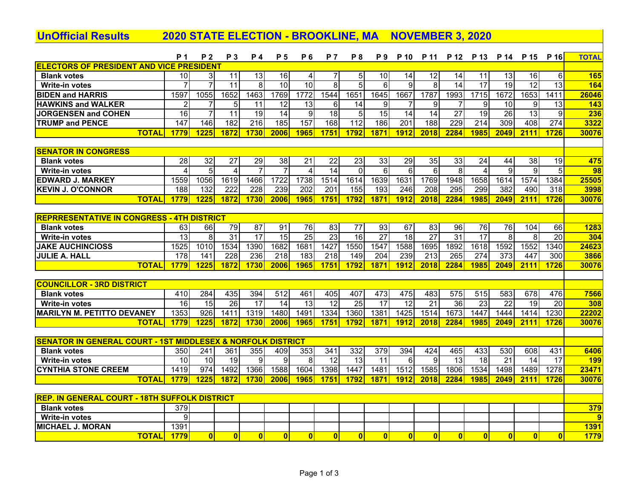| <b>UnOfficial Results</b>                                              | <b>2020 STATE ELECTION - BROOKLINE, MA</b>        |                         |                   |                         |                 |                 |                 |                         |                 | <b>NOVEMBER 3, 2020</b> |                         |                  |                 |                  |                 |                 |                 |
|------------------------------------------------------------------------|---------------------------------------------------|-------------------------|-------------------|-------------------------|-----------------|-----------------|-----------------|-------------------------|-----------------|-------------------------|-------------------------|------------------|-----------------|------------------|-----------------|-----------------|-----------------|
|                                                                        | <b>P</b> 1                                        | <b>P2</b>               | P 3               | <b>P</b> 4              | P 5             | P <sub>6</sub>  | <b>P</b> 7      | <b>P8</b>               | <b>P</b> 9      | P 10                    | P 11                    | P 12             | P 13            | P 14             | P 15            | P 16            | <b>TOTAL</b>    |
| <b>ELECTORS OF PRESIDENT AND VICE PRESIDENT</b>                        |                                                   |                         |                   |                         |                 |                 |                 |                         |                 |                         |                         |                  |                 |                  |                 |                 |                 |
| <b>Blank votes</b>                                                     | 10 <sup>1</sup>                                   | 3                       | 11                | 13                      | 16              | $\overline{4}$  |                 | 5                       | 10              | 14                      | $\overline{12}$         | 14               | 11              | 13               | 16              | 6               | 165             |
| <b>Write-in votes</b>                                                  |                                                   | $\overline{7}$          | $\overline{11}$   | 8                       | $\overline{10}$ | 10              | 8               | 5                       | 6               | 9                       | 8                       | $\overline{14}$  | $\overline{17}$ | $\overline{19}$  | $\overline{12}$ | $\overline{13}$ | <b>164</b>      |
| <b>BIDEN and HARRIS</b>                                                | 1597                                              | 1055                    | 1652              | 1463                    | 1769            | 1772            | 1544            | 1651                    | 1645            | 1667                    | 1787                    | 1993             | 1715            | 1672             | 1653            | 1411            | 26046           |
| <b>HAWKINS and WALKER</b>                                              | $\overline{2}$                                    | 7                       | 5                 | 11                      | 12              | $\overline{13}$ | 6               | 14                      | 9               | 7                       | 9                       | 7                | 9               | 10               | 9               | 13              | 143             |
| <b>JORGENSEN and COHEN</b>                                             | $\overline{16}$                                   | $\overline{7}$          | $\overline{11}$   | 19                      | $\overline{14}$ | 9               | $\overline{18}$ | 5                       | $\overline{15}$ | 14                      | $\overline{14}$         | $\overline{27}$  | 19              | $\overline{26}$  | $\overline{13}$ | 9               | 236             |
| <b>TRUMP and PENCE</b>                                                 | 147                                               | 146                     | 182               | 216                     | 185             | 157             | 168             | 112                     | 186             | 201                     | 188                     | $\overline{229}$ | 214             | $\overline{309}$ | 408             | 274             | 3322            |
| <b>TOTAL</b>                                                           | 1779                                              | 1225                    | 1872              | 1730                    | 2006            | 1965            | 1751            | 1792                    | 1871            | 1912                    | 2018                    | 2284             | 1985            | 2049             | 2111            | 1726            | 30076           |
|                                                                        |                                                   |                         |                   |                         |                 |                 |                 |                         |                 |                         |                         |                  |                 |                  |                 |                 |                 |
| <b>SENATOR IN CONGRESS</b>                                             |                                                   |                         |                   |                         |                 |                 |                 |                         |                 |                         |                         |                  |                 |                  |                 |                 |                 |
| <b>Blank votes</b>                                                     | $\overline{28}$                                   | $\overline{32}$         | $\overline{27}$   | 29                      | 38              | $\overline{21}$ | $\overline{22}$ | $\overline{23}$         | $\overline{33}$ | $\overline{29}$         | 35                      | 33               | 24              | 44               | $\overline{38}$ | 19              | 475             |
| Write-in votes                                                         | $\overline{4}$                                    | $\overline{5}$          | $\overline{4}$    | $\overline{7}$          | $\overline{7}$  | $\overline{4}$  | 14              | $\Omega$                | 6               | 6                       | $\overline{6}$          | $\overline{8}$   | $\Delta$        | $\overline{9}$   | 9               | 5               | $\overline{98}$ |
| <b>EDWARD J. MARKEY</b>                                                | 1559                                              | 1056                    | $16\overline{19}$ | 1466                    | 1722            | 1738            | 1514            | 1614                    | 1639            | 1631                    | 1769                    | 1948             | 1658            | 1614             | 1574            | 1384            | 25505           |
| <b>KEVIN J. O'CONNOR</b>                                               | 188                                               | 132                     | 222               | $\overline{228}$        | 239             | 202             | 201             | 155                     | 193             | $\overline{246}$        | $\overline{208}$        | 295              | 299             | 382              | 490             | 318             | 3998            |
| <b>TOTAL</b>                                                           | 1779                                              | 1225                    | 1872              | 1730                    | 2006            | 1965            | 1751            | 1792                    | 1871            | 1912                    | 2018                    | 2284             | 1985            | 2049             | 2111            | 1726            | 30076           |
|                                                                        |                                                   |                         |                   |                         |                 |                 |                 |                         |                 |                         |                         |                  |                 |                  |                 |                 |                 |
|                                                                        | <b>REPRRESENTATIVE IN CONGRESS - 4TH DISTRICT</b> |                         |                   |                         |                 |                 |                 |                         |                 |                         |                         |                  |                 |                  |                 |                 |                 |
| <b>Blank votes</b>                                                     | 63                                                | 66                      | 79                | $\overline{87}$         | 91              | 76              | 83              | $\overline{77}$         | 93              | 67                      | 83                      | 96               | 76              | 76               | 104             | 66              | 1283            |
| <b>Write-in votes</b>                                                  | $\overline{13}$                                   | 8                       | $\overline{31}$   | $\overline{17}$         | 15              | $\overline{25}$ | 23              | 16                      | $\overline{27}$ | $\overline{18}$         | $\overline{27}$         | $\overline{31}$  | $\overline{17}$ | 8                | 8               | $\overline{20}$ | 304             |
| <b>JAKE AUCHINCIOSS</b>                                                | 1525                                              | 1010                    | 1534              | 1390                    | 1682            | 1681            | 1427            | 1550                    | 1547            | 1588                    | 1695                    | 1892             | 1618            | 1592             | 1552            | 1340            | 24623           |
| <b>JULIE A. HALL</b>                                                   | 178                                               | 141                     | 228               | 236                     | 218             | 183             | 218             | 149                     | 204             | 239                     | 213                     | 265              | 274             | 373              | 447             | 300             | 3866            |
| <b>TOTAL</b>                                                           | 1779                                              | 1225                    | 1872              | 1730                    | 2006            | 1965            | 1751            | 1792                    | 1871            | 1912                    | 2018                    | 2284             | 1985            | 2049             | 2111            | 1726            | 30076           |
|                                                                        |                                                   |                         |                   |                         |                 |                 |                 |                         |                 |                         |                         |                  |                 |                  |                 |                 |                 |
| <u> COUNCILLOR - 3RD DISTRICT</u>                                      |                                                   |                         |                   |                         |                 |                 |                 |                         |                 |                         |                         |                  |                 |                  |                 |                 |                 |
| <b>Blank votes</b>                                                     | 410                                               | 284                     | 435               | 394                     | 512             | 461             | 405             | 407                     | 473             | 475                     | 483                     | 575              | 515             | 583              | 678             | 476             | 7566            |
| <b>Write-in votes</b>                                                  | 16                                                | 15                      | 26                | 17                      | 14              | $\overline{13}$ | $\overline{12}$ | $\overline{25}$         | 17              | $\overline{12}$         | $\overline{21}$         | 36               | 23              | $\overline{22}$  | 19              | 20              | 308             |
| <b>MARILYN M. PETITTO DEVANEY</b>                                      | 1353                                              | $\overline{926}$        | 1411              | 1319                    | 1480            | 1491            | 1334            | 1360                    | 1381            | 1425                    | 1514                    | 1673             | 1447            | 1444             | 1414            | 1230            | 22202           |
| <b>TOTAL</b>                                                           | 1779                                              | <b>1225</b>             | 1872              | 1730                    | 2006            | <b>1965</b>     | 1751            | 1792                    | 1871            | 1912                    | 2018                    | 2284             | 1985            | 2049             | 2111            | 1726            | 30076           |
|                                                                        |                                                   |                         |                   |                         |                 |                 |                 |                         |                 |                         |                         |                  |                 |                  |                 |                 |                 |
| <b>SENATOR IN GENERAL COURT - 1ST MIDDLESEX &amp; NORFOLK DISTRICT</b> |                                                   |                         |                   |                         |                 |                 |                 |                         |                 |                         |                         |                  |                 |                  |                 |                 |                 |
| <b>Blank votes</b>                                                     | 350                                               | 241                     | 361               | 355                     | 409             | 353             | 341             | 332                     | 379             | 394                     | 424                     | 465              | 433             | 530              | 608             | 431             | 6406            |
| <b>Write-in votes</b>                                                  | 10                                                | 10                      | 19                | 9                       | 9               | 8               | 12              | $\overline{13}$         | 11              | 6                       | 9                       | 13               | 18              | 21               | 14              | 17              | 199             |
| <b>CYNTHIA STONE CREEM</b>                                             | 1419                                              | 974                     | 1492              | 1366                    | 1588            | 1604            | 1398            | 1447                    | 1481            | 1512                    | 1585                    | 1806             | 1534            | 1498             | 1489            | 1278            | 23471           |
| <b>TOTAL</b>                                                           | 1779                                              | 1225                    | 1872              | 1730                    | 2006            | 1965            | 1751            | 1792                    | 1871            | 1912                    | 2018                    | 2284             | 1985            | 2049             | 2111            | 1726            | 30076           |
|                                                                        |                                                   |                         |                   |                         |                 |                 |                 |                         |                 |                         |                         |                  |                 |                  |                 |                 |                 |
| <b>REP. IN GENERAL COURT - 18TH SUFFOLK DISTRICT</b>                   |                                                   |                         |                   |                         |                 |                 |                 |                         |                 |                         |                         |                  |                 |                  |                 |                 |                 |
| <b>Blank votes</b>                                                     | 379                                               |                         |                   |                         |                 |                 |                 |                         |                 |                         |                         |                  |                 |                  |                 |                 | 379             |
| <b>Write-in votes</b>                                                  | 9                                                 |                         |                   |                         |                 |                 |                 |                         |                 |                         |                         |                  |                 |                  |                 |                 | 9               |
| <b>MICHAEL J. MORAN</b>                                                | 1391                                              |                         |                   |                         |                 |                 |                 |                         |                 |                         |                         |                  |                 |                  |                 |                 | <b>1391</b>     |
| <b>TOTAL</b>                                                           | 1779                                              | $\overline{\mathbf{0}}$ | 0                 | $\overline{\mathbf{0}}$ | $\mathbf{0}$    | $\mathbf{0}$    | $\mathbf{0}$    | $\overline{\mathbf{0}}$ | $\mathbf{0}$    | $\bf{0}$                | $\overline{\mathbf{0}}$ | $\bf{0}$         | $\overline{0}$  | $\bf{0}$         | $\bf{0}$        | $\bf{0}$        | 1779            |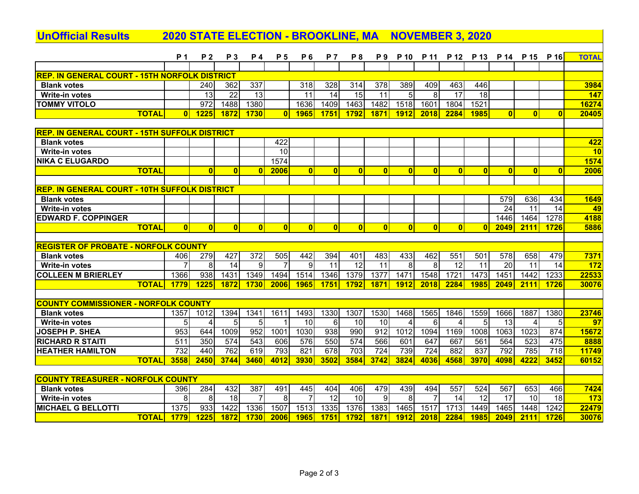## **UnOfficial Results 2020 STATE ELECTION - BROOKLINE, MA NOVEMBER 3, 2020**

|                                                      | <b>P</b> 1       | P <sub>2</sub> | <b>P3</b>       | <b>P4</b>       | <b>P</b> 5      | <b>P6</b>           | <b>P</b> 7   | <b>P8</b>              | P <sub>9</sub>          | P 10         | P 11                    |              | P 12 P 13              | P 14                   | P 15         | P 16             | <b>TOTAL</b>   |
|------------------------------------------------------|------------------|----------------|-----------------|-----------------|-----------------|---------------------|--------------|------------------------|-------------------------|--------------|-------------------------|--------------|------------------------|------------------------|--------------|------------------|----------------|
|                                                      |                  |                |                 |                 |                 |                     |              |                        |                         |              |                         |              |                        |                        |              |                  |                |
| <b>REP. IN GENERAL COURT - 15TH NORFOLK DISTRICT</b> |                  |                |                 |                 |                 |                     |              |                        |                         |              |                         |              |                        |                        |              |                  |                |
| <b>Blank votes</b>                                   |                  | 240            | 362             | 337             |                 | 318                 | 328          | 314                    | 378                     | 389          | 409                     | 463          | 446                    |                        |              |                  | 3984           |
| Write-in votes                                       |                  | 13             | $\overline{22}$ | $\overline{13}$ |                 | 11                  | 14           | $\overline{15}$        | 11                      | 5            | 8                       | 17           | 18                     |                        |              |                  | 147            |
| <b>TOMMY VITOLO</b>                                  |                  | 972            | 1488            | 1380            |                 | 1636                | 1409         | 1463                   | 1482                    | 1518         | 1601                    | 1804         | 1521                   |                        |              |                  | 16274          |
| <b>TOTAL</b>                                         | $\mathbf{0}$     | 1225           | 1872            | 1730            | $\mathbf{0}$    | <b>1965</b>         | 1751         | 1792                   | 1871                    | 1912         | 2018                    | 2284         | 1985                   | $\overline{0}$         | $\mathbf{0}$ | $\mathbf{0}$     | 20405          |
|                                                      |                  |                |                 |                 |                 |                     |              |                        |                         |              |                         |              |                        |                        |              |                  |                |
| <b>REP. IN GENERAL COURT - 15TH SUFFOLK DISTRICT</b> |                  |                |                 |                 |                 |                     |              |                        |                         |              |                         |              |                        |                        |              |                  |                |
| <b>Blank votes</b>                                   |                  |                |                 |                 | 422             |                     |              |                        |                         |              |                         |              |                        |                        |              |                  | 422            |
| <b>Write-in votes</b>                                |                  |                |                 |                 | $\overline{10}$ |                     |              |                        |                         |              |                         |              |                        |                        |              |                  | 10             |
| <b>INIKA C ELUGARDO</b>                              |                  |                |                 |                 | 1574            |                     |              |                        |                         |              |                         |              |                        |                        |              |                  | 1574           |
| <b>TOTAL</b>                                         |                  | $\mathbf{0}$   | $\bf{0}$        | $\mathbf{0}$    | 2006            | $\mathbf{0}$        | $\bf{0}$     | $\mathbf{0}$           | $\mathbf{0}$            | $\mathbf{0}$ | $\bf{0}$                | $\mathbf{0}$ | $\bf{0}$               | $\overline{0}$         | $\mathbf{0}$ | $\mathbf{0}$     | 2006           |
|                                                      |                  |                |                 |                 |                 |                     |              |                        |                         |              |                         |              |                        |                        |              |                  |                |
| <b>REP. IN GENERAL COURT - 10TH SUFFOLK DISTRICT</b> |                  |                |                 |                 |                 |                     |              |                        |                         |              |                         |              |                        |                        |              |                  |                |
| <b>Blank votes</b>                                   |                  |                |                 |                 |                 |                     |              |                        |                         |              |                         |              |                        | 579                    | 636          | 434              | 1649           |
| <b>Write-in votes</b>                                |                  |                |                 |                 |                 |                     |              |                        |                         |              |                         |              |                        | 24                     | 11           | 14               | 49             |
| <b>EDWARD F. COPPINGER</b>                           |                  |                |                 |                 |                 |                     |              |                        |                         |              |                         |              |                        | 1446                   | 1464         | 1278             | 4188           |
| <b>TOTAL</b>                                         | $\mathbf{0}$     | $\bf{0}$       | $\mathbf{0}$    | $\mathbf{0}$    | $\mathbf{0}$    | $\mathbf{0}$        | $\bf{0}$     | $\mathbf{0}$           | $\overline{\mathbf{0}}$ | $\mathbf{0}$ | $\overline{\mathbf{0}}$ | $\mathbf{0}$ | $\overline{0}$         | 2049                   | 2111         | 1726             | 5886           |
|                                                      |                  |                |                 |                 |                 |                     |              |                        |                         |              |                         |              |                        |                        |              |                  |                |
| <b>REGISTER OF PROBATE - NORFOLK COUNTY</b>          |                  |                |                 |                 |                 |                     |              |                        |                         |              |                         |              |                        |                        |              |                  |                |
| <b>Blank votes</b>                                   | 406              | 279<br>8       | 427<br>14       | 372<br>9        | 505             | 442<br>9            | 394<br>11    | 401<br>$\overline{12}$ | 483<br>11               | 433<br>8     | 462<br>8                | 551<br>12    | 501<br>$\overline{11}$ | 578<br>$\overline{20}$ | 658<br>11    | 479<br>14        | 7371           |
| <b>Write-in votes</b><br><b>COLLEEN M BRIERLEY</b>   |                  | 938            | 1431            | 1349            |                 |                     |              | 1379                   | 1377                    | 1471         | 1548                    | 1721         | 1473                   | 1451                   | 1442         |                  | <b>172</b>     |
| <b>TOTAL</b>                                         | 1366<br>1779     | 1225           | 1872            | 1730            | 1494<br>2006    | 1514<br><b>1965</b> | 1346<br>1751 | 1792                   | 1871                    | 1912         | 2018                    | 2284         | 1985                   | 2049                   | 2111         | 1233<br>1726     | 22533<br>30076 |
|                                                      |                  |                |                 |                 |                 |                     |              |                        |                         |              |                         |              |                        |                        |              |                  |                |
| <b>COUNTY COMMISSIONER - NORFOLK COUNTY</b>          |                  |                |                 |                 |                 |                     |              |                        |                         |              |                         |              |                        |                        |              |                  |                |
| <b>Blank votes</b>                                   | 1357             | 1012           | 1394            | 1341            | 1611            | 1493                | 1330         | 1307                   | 1530                    | 1468         | 1565                    | 1846         | 1559                   | 1666                   | 1887         | 1380             | 23746          |
| <b>Write-in votes</b>                                | 5                |                | 5               | 5               |                 | $\overline{10}$     | 6            | $\overline{10}$        | 10                      | Δ            | $6\phantom{1}6$         |              | 5                      | $\overline{13}$        | 4            | 5 <sup>1</sup>   | 97             |
| <b>JOSEPH P. SHEA</b>                                | 953              | 644            | 1009            | 952             | 1001            | 1030                | 938          | 990                    | 912                     | 1012         | 1094                    | 1169         | 1008                   | 1063                   | 1023         | 874              | 15672          |
| <b>RICHARD R STAITI</b>                              | 511              | 350            | 574             | 543             | 606             | 576                 | 550          | 574                    | 566                     | 601          | 647                     | 667          | 561                    | 564                    | 523          | 475              | 8888           |
| <b>HEATHER HAMILTON</b>                              | $\overline{732}$ | 440            | 762             | 619             | 793             | 821                 | 678          | $\overline{703}$       | 724                     | 739          | $\overline{724}$        | 882          | 837                    | 792                    | 785          | $\overline{718}$ | 11749          |
| <b>TOTAL</b>                                         | 3558             | 2450           | 3744            | 3460            | 4012            | 3930                | 3502         | 3584                   | 3742                    | 3824         | 4036                    | 4568         | 3970                   | 4098                   | 4222         | 3452             | 60152          |
|                                                      |                  |                |                 |                 |                 |                     |              |                        |                         |              |                         |              |                        |                        |              |                  |                |
| <b>COUNTY TREASURER - NORFOLK COUNTY</b>             |                  |                |                 |                 |                 |                     |              |                        |                         |              |                         |              |                        |                        |              |                  |                |
| <b>Blank votes</b>                                   | 396              | 284            | 432             | 387             | 491             | 445                 | 404          | 406                    | 479                     | 439          | 494                     | 557          | 524                    | 567                    | 653          | 466              | 7424           |
| <b>Write-in votes</b>                                | 8                | 8              | 18              | 7               | 8               |                     | 12           | $\overline{10}$        | 9                       | 8            | $\overline{7}$          | 14           | 12                     | $\overline{17}$        | 10           | 18               | 173            |
| <b>MICHAEL G BELLOTTI</b>                            | 1375             | 933            | 1422            | 1336            | 1507            | 1513                | 1335         | 1376                   | 1383                    | 1465         | 1517                    | 1713         | 1449                   | 1465                   | 1448         | 1242             | 22479          |
| <b>TOTAL</b>                                         | 1779             | 1225           | 1872            | 1730            | 2006            | <b>1965</b>         | 1751         | 1792                   | 1871                    | 1912         | 2018                    | 2284         | 1985                   | 2049                   | 2111         | 1726             | 30076          |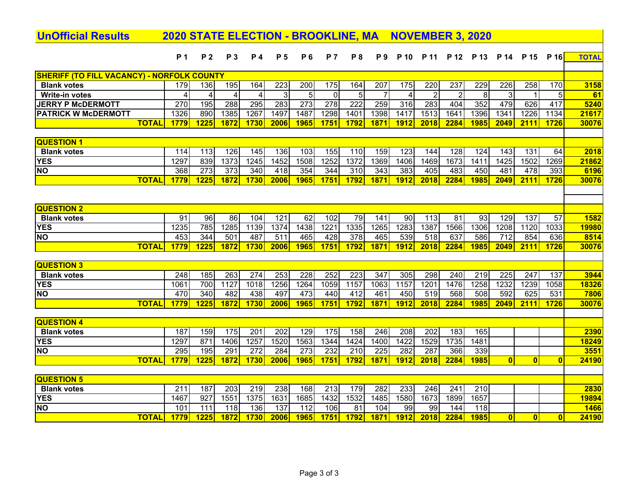| <b>UnOfficial Results</b>                         | <b>2020 STATE ELECTION - BROOKLINE, MA</b> |                  |                  |                  |                          |                  |                  |                  |                  |                 |                  |                | <b>NOVEMBER 3, 2020</b> |                         |                  |                         |               |
|---------------------------------------------------|--------------------------------------------|------------------|------------------|------------------|--------------------------|------------------|------------------|------------------|------------------|-----------------|------------------|----------------|-------------------------|-------------------------|------------------|-------------------------|---------------|
|                                                   | <b>P</b> 1                                 | P <sub>2</sub>   | <b>P3</b>        | <b>P4</b>        | <b>P</b> 5               | <b>P6</b>        | <b>P7</b>        | P 8              | <b>P</b> 9       | P 10            | P 11             | P 12           | P 13                    | P 14                    | P 15             | P 16                    | <b>TOTAL</b>  |
|                                                   |                                            |                  |                  |                  |                          |                  |                  |                  |                  |                 |                  |                |                         |                         |                  |                         |               |
| <b>SHERIFF (TO FILL VACANCY) - NORFOLK COUNTY</b> |                                            |                  |                  |                  |                          |                  |                  |                  |                  |                 |                  |                |                         |                         |                  |                         |               |
| <b>Blank votes</b>                                | 179                                        | 136              | 195              | 164              | $\overline{223}$         | $\overline{200}$ | 175              | 164              | 207              | $\frac{175}{2}$ | $\overline{220}$ | 237            | 229                     | $\overline{226}$        | $\overline{258}$ | 170                     | 3158          |
| Write-in votes                                    | 4                                          | $\overline{4}$   | $\overline{4}$   | 4                | ω                        | 5                | $\mathbf{0}$     | 5                | $\overline{7}$   | $\overline{4}$  | $\overline{2}$   | $\overline{2}$ | 8                       | 3                       |                  | 5                       | 61            |
| <b>JERRY P McDERMOTT</b>                          | 270                                        | 195              | 288              | $\overline{295}$ | 283                      | 273              | $\overline{278}$ | $\overline{222}$ | $\overline{259}$ | 316             | 283              | 404            | 352                     | 479                     | 626              | 417                     | 5240          |
| <b>PATRICK W McDERMOTT</b>                        | 1326                                       | 890              | 1385             | 1267             | 1497                     | 1487             | 1298             | 1401             | 1398             | 1417            | 1513             | 1641           | 1396                    | 1341                    | 1226             | 1134                    | 21617         |
| <b>TOTAL</b>                                      | 1779                                       | 1225             | 1872             | 1730             | 2006                     | 1965             | 1751             | 1792             | 1871             | 1912            | 2018             | 2284           | 1985                    | 2049                    | 2111             | 1726                    | 30076         |
|                                                   |                                            |                  |                  |                  |                          |                  |                  |                  |                  |                 |                  |                |                         |                         |                  |                         |               |
| <b>QUESTION 1</b>                                 |                                            |                  |                  |                  |                          |                  |                  |                  |                  |                 |                  |                |                         |                         |                  |                         |               |
| <b>Blank votes</b>                                | 114                                        | 113              | 126              | 145              | 136                      | 103              | 155              | 110              | 159              | 123             | 144              | 128            | 124                     | 143                     | 131              | 64                      | 2018          |
| <b>YES</b>                                        | 1297                                       | 839              | 1373             | 1245             | 1452                     | 1508             | 1252             | 1372             | 1369             | 1406            | 1469             | 1673           | 1411                    | 1425                    | 1502             | 1269                    | 21862         |
| <b>NO</b>                                         | 368                                        | $\overline{273}$ | $\overline{373}$ | $\overline{340}$ | $\overline{418}$         | 354              | 344              | $\overline{310}$ | $\overline{343}$ | 383             | 405              | 483            | 450                     | 481                     | 478              | 393                     | 6196          |
| <b>TOTAL</b>                                      | 1779                                       | 1225             | 1872             | 1730             | 2006                     | 1965             | 1751             | 1792             | 1871             | 1912            | 2018             | 2284           | 1985                    | 2049                    | 2111             | 1726                    | 30076         |
|                                                   |                                            |                  |                  |                  |                          |                  |                  |                  |                  |                 |                  |                |                         |                         |                  |                         |               |
| <b>QUESTION 2</b>                                 |                                            |                  |                  |                  |                          |                  |                  |                  |                  |                 |                  |                |                         |                         |                  |                         |               |
| <b>Blank votes</b>                                | 91                                         | 96               | 86               | 104              | 121                      | 62               | 102              | 79               | 141              | 90              | $\overline{113}$ | 81             | 93                      | 129                     | 137              | 57                      | 1582          |
| <b>YES</b>                                        | 1235                                       | 785              | 1285             | 1139             | 1374                     | 1438             | 1221             | 1335             | 1265             | 1283            | 1387             | 1566           | 1306                    | 1208                    | 1120             | 1033                    | <b>19980</b>  |
| <b>NO</b>                                         | 453                                        | 344              | 501              | 487              | 511                      | 465              | $\overline{428}$ | 378              | 465              | 539             | 518              | 637            | 586                     | 712                     | 854              | 636                     | 8514          |
| <b>TOTAL</b>                                      | 1779                                       | 1225             | 1872             | 1730             | 2006                     | <b>1965</b>      | 1751             | 1792             | 1871             | <b>1912</b>     | 2018             | 2284           | <b>1985</b>             | 2049                    | 2111             | 1726                    | 30076         |
|                                                   |                                            |                  |                  |                  |                          |                  |                  |                  |                  |                 |                  |                |                         |                         |                  |                         |               |
| <b>QUESTION 3</b>                                 |                                            |                  |                  |                  |                          |                  |                  |                  |                  |                 |                  |                |                         |                         |                  |                         |               |
| <b>Blank votes</b>                                | 248                                        | 185              | $\overline{263}$ | $\overline{274}$ | 253                      | 228              | $\overline{252}$ | $\overline{223}$ | $\overline{347}$ | 305             | 298              | 240            | 219                     | $\overline{225}$        | 247              | 137                     | 3944          |
| <b>YES</b>                                        | 1061                                       | 700              | 1127             | 1018             | 1256                     | 1264             | 1059             | 1157             | 1063             | 1157            | 1201             | 1476           | 1258                    | 1232                    | 1239             | 1058                    | 18326         |
| <b>NO</b>                                         | 470                                        | 340              | 482              | 438              | 497                      | 473              | 440              | 412              | 461              | 450             | 519              | 568            | 508                     | 592                     | 625              | 531                     | 7806          |
| <b>TOTAL</b>                                      | 1779                                       | 1225             | 1872             | 1730             | 2006                     | 1965             | 1751             | 1792             | 1871             | 1912            | 2018             | 2284           | <b>1985</b>             | 2049                    | 2111             | 1726                    | 30076         |
|                                                   |                                            |                  |                  |                  |                          |                  |                  |                  |                  |                 |                  |                |                         |                         |                  |                         |               |
| <b>QUESTION 4</b>                                 |                                            |                  |                  |                  |                          |                  |                  |                  |                  |                 |                  |                |                         |                         |                  |                         |               |
| <b>Blank votes</b>                                | 187<br>1297                                | 159<br>871       | 175<br>1406      | 201<br>1257      | $\overline{202}$<br>1520 | 129<br>1563      | 175<br>1344      | 158<br>1424      | 246<br>1400      | 208<br>1422     | 202<br>1529      | 183<br>1735    | 165<br>1481             |                         |                  |                         | 2390          |
| <b>YES</b><br><b>NO</b>                           | 295                                        | 195              | 291              | 272              | 284                      | 273              | 232              | 210              | 225              | 282             | 287              | 366            | 339                     |                         |                  |                         | 18249<br>3551 |
| <b>TOTAL</b>                                      | 1779                                       | 1225             | 1872             | 1730             | 2006                     | 1965             | 1751             | 1792             | 1871             | 1912            | 2018             | 2284           | <b>1985</b>             | $\overline{\mathbf{0}}$ | $\mathbf{0}$     | $\bf{0}$                | 24190         |
|                                                   |                                            |                  |                  |                  |                          |                  |                  |                  |                  |                 |                  |                |                         |                         |                  |                         |               |
| <b>QUESTION 5</b>                                 |                                            |                  |                  |                  |                          |                  |                  |                  |                  |                 |                  |                |                         |                         |                  |                         |               |
| <b>Blank votes</b>                                | $\overline{211}$                           | 187              | $\overline{203}$ | 219              | 238                      | 168              | 213              | 179              | 282              | 233             | 246              | 241            | 210                     |                         |                  |                         | 2830          |
| <b>YES</b>                                        | 1467                                       | $\overline{927}$ | 1551             | 1375             | 1631                     | 1685             | 1432             | 1532             | 1485             | 1580            | 1673             | 1899           | 1657                    |                         |                  |                         | 19894         |
| <b>NO</b>                                         | 101                                        | $\overline{111}$ | $\overline{118}$ | 136              | 137                      | $\overline{112}$ | 106              | $\overline{81}$  | 104              | 99              | $\overline{99}$  | 144            | 118                     |                         |                  |                         | 1466          |
| <b>TOTAL</b>                                      | 1779                                       | <b>1225</b>      | 1872             | 1730             | 2006                     | 1965             | 1751             | 1792             | 1871             | 1912            | 2018             | 2284           | <b>1985</b>             | $\mathbf{0}$            | $\bf{0}$         | $\overline{\mathbf{0}}$ | 24190         |